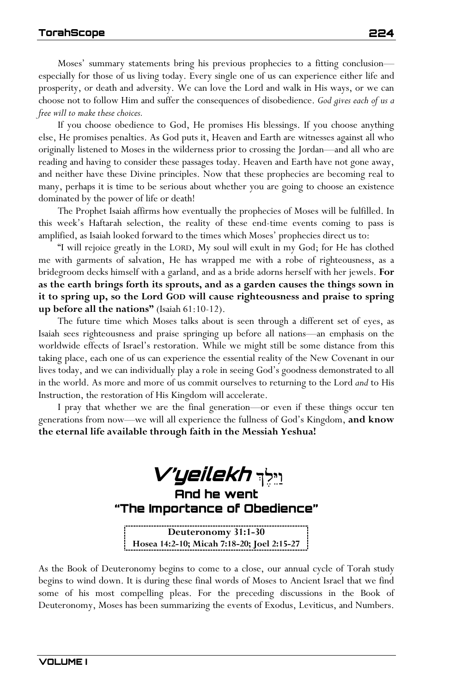Moses' summary statements bring his previous prophecies to a fitting conclusion especially for those of us living today. Every single one of us can experience either life and prosperity, or death and adversity. We can love the Lord and walk in His ways, or we can choose not to follow Him and suffer the consequences of disobedience. *God gives each of us a free will to make these choices.*

If you choose obedience to God, He promises His blessings. If you choose anything else, He promises penalties. As God puts it, Heaven and Earth are witnesses against all who originally listened to Moses in the wilderness prior to crossing the Jordan—and all who are reading and having to consider these passages today. Heaven and Earth have not gone away, and neither have these Divine principles. Now that these prophecies are becoming real to many, perhaps it is time to be serious about whether you are going to choose an existence dominated by the power of life or death!

The Prophet Isaiah affirms how eventually the prophecies of Moses will be fulfilled. In this week's Haftarah selection, the reality of these end-time events coming to pass is amplified, as Isaiah looked forward to the times which Moses' prophecies direct us to:

"I will rejoice greatly in the LORD, My soul will exult in my God; for He has clothed me with garments of salvation, He has wrapped me with a robe of righteousness, as a bridegroom decks himself with a garland, and as a bride adorns herself with her jewels. **For as the earth brings forth its sprouts, and as a garden causes the things sown in it to spring up, so the Lord GOD will cause righteousness and praise to spring up before all the nations"** (Isaiah 61:10-12).

The future time which Moses talks about is seen through a different set of eyes, as Isaiah sees righteousness and praise springing up before all nations—an emphasis on the worldwide effects of Israel's restoration. While we might still be some distance from this taking place, each one of us can experience the essential reality of the New Covenant in our lives today, and we can individually play a role in seeing God's goodness demonstrated to all in the world. As more and more of us commit ourselves to returning to the Lord *and* to His Instruction, the restoration of His Kingdom will accelerate.

I pray that whether we are the final generation—or even if these things occur ten generations from now—we will all experience the fullness of God's Kingdom, **and know the eternal life available through faith in the Messiah Yeshua!**



**Hosea 14:2-10; Micah 7:18-20; Joel 2:15-27**

As the Book of Deuteronomy begins to come to a close, our annual cycle of Torah study begins to wind down. It is during these final words of Moses to Ancient Israel that we find some of his most compelling pleas. For the preceding discussions in the Book of Deuteronomy, Moses has been summarizing the events of Exodus, Leviticus, and Numbers.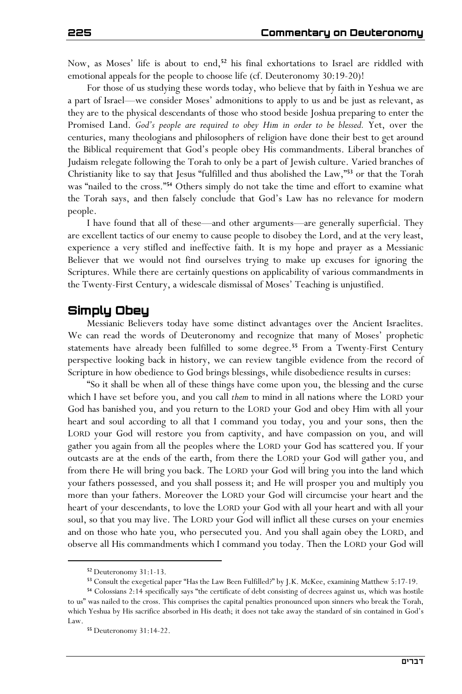Now, as Moses' life is about to end,**<sup>52</sup>** his final exhortations to Israel are riddled with emotional appeals for the people to choose life (cf. Deuteronomy 30:19-20)!

For those of us studying these words today, who believe that by faith in Yeshua we are a part of Israel—we consider Moses' admonitions to apply to us and be just as relevant, as they are to the physical descendants of those who stood beside Joshua preparing to enter the Promised Land. *God's people are required to obey Him in order to be blessed.* Yet, over the centuries, many theologians and philosophers of religion have done their best to get around the Biblical requirement that God's people obey His commandments. Liberal branches of Judaism relegate following the Torah to only be a part of Jewish culture. Varied branches of Christianity like to say that Jesus "fulfilled and thus abolished the Law,"**<sup>53</sup>** or that the Torah was "nailed to the cross."**<sup>54</sup>** Others simply do not take the time and effort to examine what the Torah says, and then falsely conclude that God's Law has no relevance for modern people.

I have found that all of these—and other arguments—are generally superficial. They are excellent tactics of our enemy to cause people to disobey the Lord, and at the very least, experience a very stifled and ineffective faith. It is my hope and prayer as a Messianic Believer that we would not find ourselves trying to make up excuses for ignoring the Scriptures. While there are certainly questions on applicability of various commandments in the Twenty-First Century, a widescale dismissal of Moses' Teaching is unjustified.

## **Simply Obey**

Messianic Believers today have some distinct advantages over the Ancient Israelites. We can read the words of Deuteronomy and recognize that many of Moses' prophetic statements have already been fulfilled to some degree.**<sup>55</sup>** From a Twenty-First Century perspective looking back in history, we can review tangible evidence from the record of Scripture in how obedience to God brings blessings, while disobedience results in curses:

"So it shall be when all of these things have come upon you, the blessing and the curse which I have set before you, and you call *them* to mind in all nations where the LORD your God has banished you, and you return to the LORD your God and obey Him with all your heart and soul according to all that I command you today, you and your sons, then the LORD your God will restore you from captivity, and have compassion on you, and will gather you again from all the peoples where the LORD your God has scattered you. If your outcasts are at the ends of the earth, from there the LORD your God will gather you, and from there He will bring you back. The LORD your God will bring you into the land which your fathers possessed, and you shall possess it; and He will prosper you and multiply you more than your fathers. Moreover the LORD your God will circumcise your heart and the heart of your descendants, to love the LORD your God with all your heart and with all your soul, so that you may live. The LORD your God will inflict all these curses on your enemies and on those who hate you, who persecuted you. And you shall again obey the LORD, and observe all His commandments which I command you today. Then the LORD your God will

**<sup>52</sup>** Deuteronomy 31:1-13.

**<sup>53</sup>** Consult the exegetical paper "Has the Law Been Fulfilled?" by J.K. McKee, examining Matthew 5:17-19.

**<sup>54</sup>** Colossians 2:14 specifically says "the certificate of debt consisting of decrees against us, which was hostile to us" was nailed to the cross. This comprises the capital penalties pronounced upon sinners who break the Torah, which Yeshua by His sacrifice absorbed in His death; it does not take away the standard of sin contained in God's Law.

**<sup>55</sup>** Deuteronomy 31:14-22.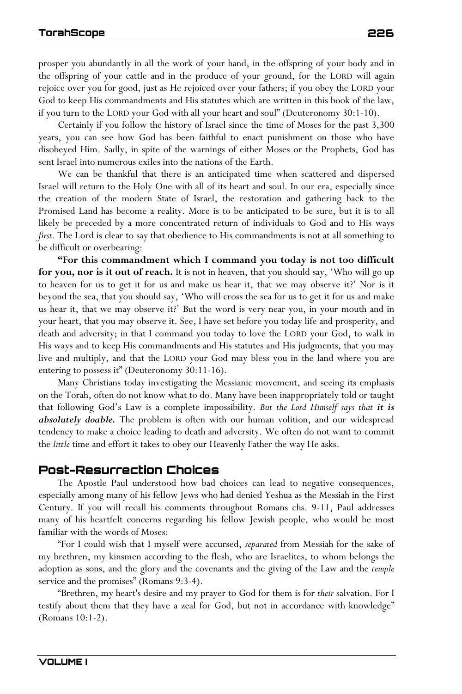prosper you abundantly in all the work of your hand, in the offspring of your body and in the offspring of your cattle and in the produce of your ground, for the LORD will again rejoice over you for good, just as He rejoiced over your fathers; if you obey the LORD your God to keep His commandments and His statutes which are written in this book of the law, if you turn to the LORD your God with all your heart and soul" (Deuteronomy 30:1-10).

Certainly if you follow the history of Israel since the time of Moses for the past 3,300 years, you can see how God has been faithful to enact punishment on those who have disobeyed Him. Sadly, in spite of the warnings of either Moses or the Prophets, God has sent Israel into numerous exiles into the nations of the Earth.

We can be thankful that there is an anticipated time when scattered and dispersed Israel will return to the Holy One with all of its heart and soul. In our era, especially since the creation of the modern State of Israel, the restoration and gathering back to the Promised Land has become a reality. More is to be anticipated to be sure, but it is to all likely be preceded by a more concentrated return of individuals to God and to His ways *first.* The Lord is clear to say that obedience to His commandments is not at all something to be difficult or overbearing:

**"For this commandment which I command you today is not too difficult for you, nor is it out of reach.** It is not in heaven, that you should say, 'Who will go up to heaven for us to get it for us and make us hear it, that we may observe it?' Nor is it beyond the sea, that you should say, 'Who will cross the sea for us to get it for us and make us hear it, that we may observe it?' But the word is very near you, in your mouth and in your heart, that you may observe it. See, I have set before you today life and prosperity, and death and adversity; in that I command you today to love the LORD your God, to walk in His ways and to keep His commandments and His statutes and His judgments, that you may live and multiply, and that the LORD your God may bless you in the land where you are entering to possess it" (Deuteronomy 30:11-16).

Many Christians today investigating the Messianic movement, and seeing its emphasis on the Torah, often do not know what to do. Many have been inappropriately told or taught that following God's Law is a complete impossibility. *But the Lord Himself says that it is absolutely doable.* The problem is often with our human volition, and our widespread tendency to make a choice leading to death and adversity. We often do not want to commit the *little* time and effort it takes to obey our Heavenly Father the way He asks.

## **Post-Resurrection Choices**

The Apostle Paul understood how bad choices can lead to negative consequences, especially among many of his fellow Jews who had denied Yeshua as the Messiah in the First Century. If you will recall his comments throughout Romans chs. 9-11, Paul addresses many of his heartfelt concerns regarding his fellow Jewish people, who would be most familiar with the words of Moses:

"For I could wish that I myself were accursed, *separated* from Messiah for the sake of my brethren, my kinsmen according to the flesh, who are Israelites, to whom belongs the adoption as sons, and the glory and the covenants and the giving of the Law and the *temple*  service and the promises" (Romans 9:3-4).

"Brethren, my heart's desire and my prayer to God for them is for *their* salvation. For I testify about them that they have a zeal for God, but not in accordance with knowledge" (Romans 10:1-2).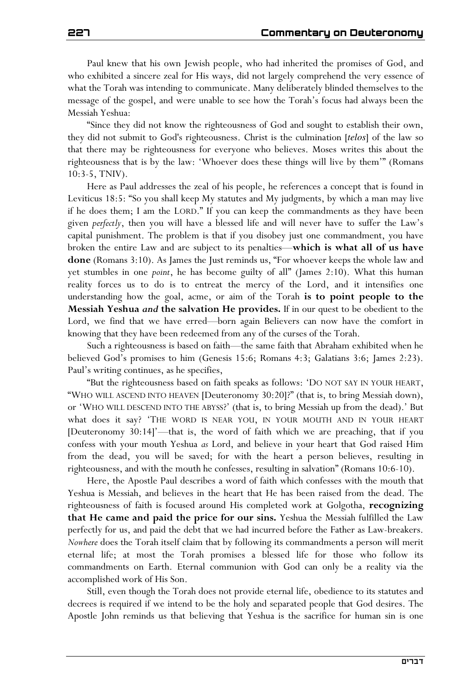Paul knew that his own Jewish people, who had inherited the promises of God, and who exhibited a sincere zeal for His ways, did not largely comprehend the very essence of what the Torah was intending to communicate. Many deliberately blinded themselves to the message of the gospel, and were unable to see how the Torah's focus had always been the Messiah Yeshua:

"Since they did not know the righteousness of God and sought to establish their own, they did not submit to God's righteousness. Christ is the culmination [*telos*] of the law so that there may be righteousness for everyone who believes. Moses writes this about the righteousness that is by the law: 'Whoever does these things will live by them'" (Romans 10:3-5, TNIV).

Here as Paul addresses the zeal of his people, he references a concept that is found in Leviticus 18:5: "So you shall keep My statutes and My judgments, by which a man may live if he does them; I am the LORD." If you can keep the commandments as they have been given *perfectly*, then you will have a blessed life and will never have to suffer the Law's capital punishment. The problem is that if you disobey just one commandment, you have broken the entire Law and are subject to its penalties—**which is what all of us have done** (Romans 3:10). As James the Just reminds us, "For whoever keeps the whole law and yet stumbles in one *point*, he has become guilty of all" (James 2:10). What this human reality forces us to do is to entreat the mercy of the Lord, and it intensifies one understanding how the goal, acme, or aim of the Torah **is to point people to the Messiah Yeshua** *and* **the salvation He provides.** If in our quest to be obedient to the Lord, we find that we have erred—born again Believers can now have the comfort in knowing that they have been redeemed from any of the curses of the Torah.

Such a righteousness is based on faith—the same faith that Abraham exhibited when he believed God's promises to him (Genesis 15:6; Romans 4:3; Galatians 3:6; James 2:23). Paul's writing continues, as he specifies,

"But the righteousness based on faith speaks as follows: 'DO NOT SAY IN YOUR HEART, "WHO WILL ASCEND INTO HEAVEN [Deuteronomy 30:20]?" (that is, to bring Messiah down), or 'WHO WILL DESCEND INTO THE ABYSS?' (that is, to bring Messiah up from the dead).' But what does it say? 'THE WORD IS NEAR YOU, IN YOUR MOUTH AND IN YOUR HEART [Deuteronomy 30:14]'—that is, the word of faith which we are preaching, that if you confess with your mouth Yeshua *as* Lord, and believe in your heart that God raised Him from the dead, you will be saved; for with the heart a person believes, resulting in righteousness, and with the mouth he confesses, resulting in salvation" (Romans 10:6-10).

Here, the Apostle Paul describes a word of faith which confesses with the mouth that Yeshua is Messiah, and believes in the heart that He has been raised from the dead. The righteousness of faith is focused around His completed work at Golgotha, **recognizing that He came and paid the price for our sins.** Yeshua the Messiah fulfilled the Law perfectly for us, and paid the debt that we had incurred before the Father as Law-breakers. *Nowhere* does the Torah itself claim that by following its commandments a person will merit eternal life; at most the Torah promises a blessed life for those who follow its commandments on Earth. Eternal communion with God can only be a reality via the accomplished work of His Son.

Still, even though the Torah does not provide eternal life, obedience to its statutes and decrees is required if we intend to be the holy and separated people that God desires. The Apostle John reminds us that believing that Yeshua is the sacrifice for human sin is one